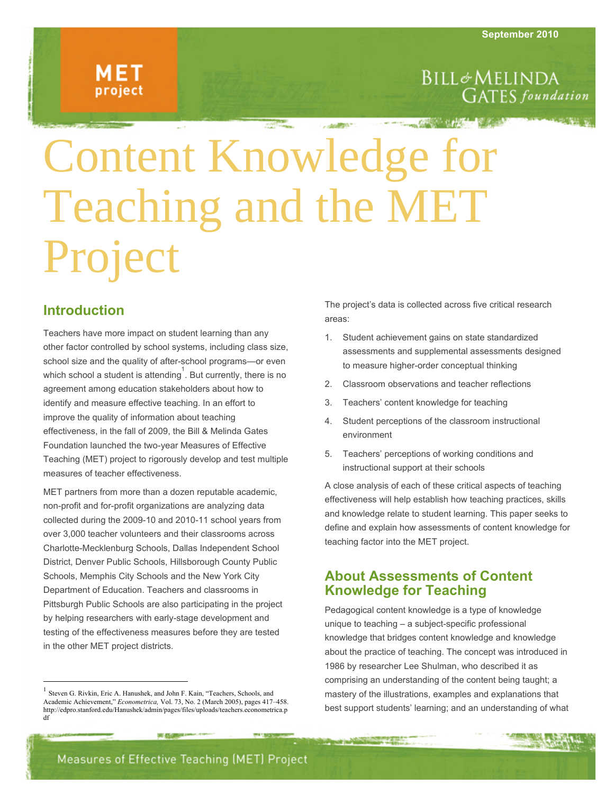## MET project

### **BILL**&MELINDA **GATES** foundation

# Content Knowledge for Teaching and the MET Project

#### **Introduction**

Teachers have more impact on student learning than any other factor controlled by school systems, including class size, school size and the quality of after-school programs—or even which school a student is attending  $\overline{1}$ . But currently, there is no agreement among education stakeholders about how to identify and measure effective teaching. In an effort to improve the quality of information about teaching effectiveness, in the fall of 2009, the Bill & Melinda Gates Foundation launched the two-year Measures of Effective Teaching (MET) project to rigorously develop and test multiple measures of teacher effectiveness.

MET partners from more than a dozen reputable academic, non-profit and for-profit organizations are analyzing data collected during the 2009-10 and 2010-11 school years from over 3,000 teacher volunteers and their classrooms across Charlotte-Mecklenburg Schools, Dallas Independent School District, Denver Public Schools, Hillsborough County Public Schools, Memphis City Schools and the New York City Department of Education. Teachers and classrooms in Pittsburgh Public Schools are also participating in the project by helping researchers with early-stage development and testing of the effectiveness measures before they are tested in the other MET project districts.

The project's data is collected across five critical research areas:

- 1. Student achievement gains on state standardized assessments and supplemental assessments designed to measure higher-order conceptual thinking
- 2. Classroom observations and teacher reflections
- 3. Teachers' content knowledge for teaching
- 4. Student perceptions of the classroom instructional environment
- 5. Teachers' perceptions of working conditions and instructional support at their schools

A close analysis of each of these critical aspects of teaching effectiveness will help establish how teaching practices, skills and knowledge relate to student learning. This paper seeks to define and explain how assessments of content knowledge for teaching factor into the MET project.

#### **About Assessments of Content Knowledge for Teaching**

Pedagogical content knowledge is a type of knowledge unique to teaching – a subject-specific professional knowledge that bridges content knowledge and knowledge about the practice of teaching. The concept was introduced in 1986 by researcher Lee Shulman, who described it as comprising an understanding of the content being taught; a mastery of the illustrations, examples and explanations that best support students' learning; and an understanding of what

<sup>&</sup>lt;sup>1</sup> Steven G. Rivkin, Eric A. Hanushek, and John F. Kain, "Teachers, Schools, and Academic Achievement," *Econometrica,* Vol. 73, No. 2 (March 2005), pages 417–458. http://edpro.stanford.edu/Hanushek/admin/pages/files/uploads/teachers.econometrica.p df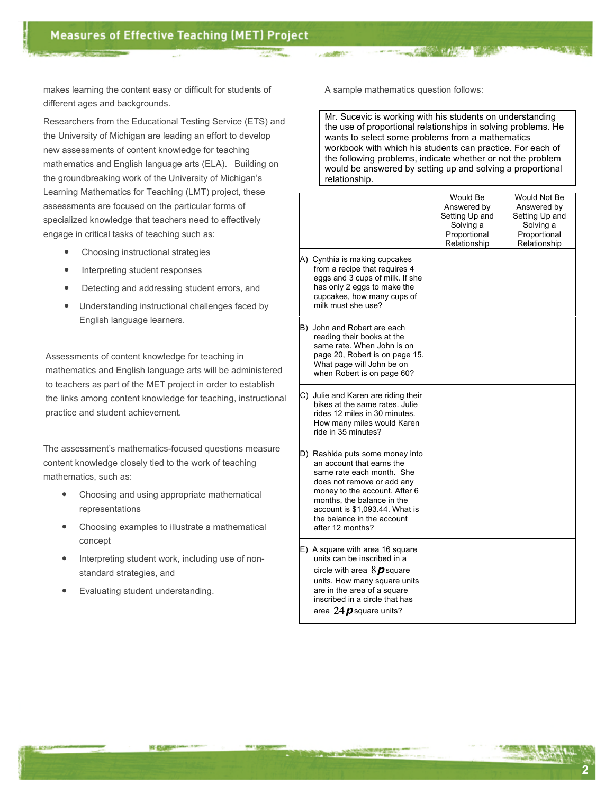makes learning the content easy or difficult for students of different ages and backgrounds.

Researchers from the Educational Testing Service (ETS) and the University of Michigan are leading an effort to develop new assessments of content knowledge for teaching mathematics and English language arts (ELA). Building on the groundbreaking work of the University of Michigan's Learning Mathematics for Teaching (LMT) project, these assessments are focused on the particular forms of specialized knowledge that teachers need to effectively engage in critical tasks of teaching such as:

- Choosing instructional strategies
- Interpreting student responses
- Detecting and addressing student errors, and
- Understanding instructional challenges faced by English language learners.

Assessments of content knowledge for teaching in mathematics and English language arts will be administered to teachers as part of the MET project in order to establish the links among content knowledge for teaching, instructional practice and student achievement.

The assessment's mathematics-focused questions measure content knowledge closely tied to the work of teaching mathematics, such as:

- Choosing and using appropriate mathematical representations
- Choosing examples to illustrate a mathematical concept
- Interpreting student work, including use of nonstandard strategies, and
- Evaluating student understanding.

A sample mathematics question follows:

Mr. Sucevic is working with his students on understanding the use of proportional relationships in solving problems. He wants to select some problems from a mathematics workbook with which his students can practice. For each of the following problems, indicate whether or not the problem would be answered by setting up and solving a proportional relationship.

|                                                                                                                                                                                                                                                                            | Would Be<br>Answered by<br>Setting Up and<br>Solving a<br>Proportional<br>Relationship | Would Not Be<br>Answered by<br>Setting Up and<br>Solving a<br>Proportional<br>Relationship |
|----------------------------------------------------------------------------------------------------------------------------------------------------------------------------------------------------------------------------------------------------------------------------|----------------------------------------------------------------------------------------|--------------------------------------------------------------------------------------------|
| A) Cynthia is making cupcakes<br>from a recipe that requires 4<br>eggs and 3 cups of milk. If she<br>has only 2 eggs to make the<br>cupcakes, how many cups of<br>milk must she use?                                                                                       |                                                                                        |                                                                                            |
| B) John and Robert are each<br>reading their books at the<br>same rate. When John is on<br>page 20, Robert is on page 15.<br>What page will John be on<br>when Robert is on page 60?                                                                                       |                                                                                        |                                                                                            |
| C) Julie and Karen are riding their<br>bikes at the same rates. Julie<br>rides 12 miles in 30 minutes.<br>How many miles would Karen<br>ride in 35 minutes?                                                                                                                |                                                                                        |                                                                                            |
| D) Rashida puts some money into<br>an account that earns the<br>same rate each month. She<br>does not remove or add any<br>money to the account. After 6<br>months, the balance in the<br>account is \$1,093.44. What is<br>the balance in the account<br>after 12 months? |                                                                                        |                                                                                            |
| E) A square with area 16 square<br>units can be inscribed in a<br>circle with area $8\,\boldsymbol{\beta}$ square<br>units. How many square units<br>are in the area of a square<br>inscribed in a circle that has<br>area 24 $p$ square units?                            |                                                                                        |                                                                                            |

**2**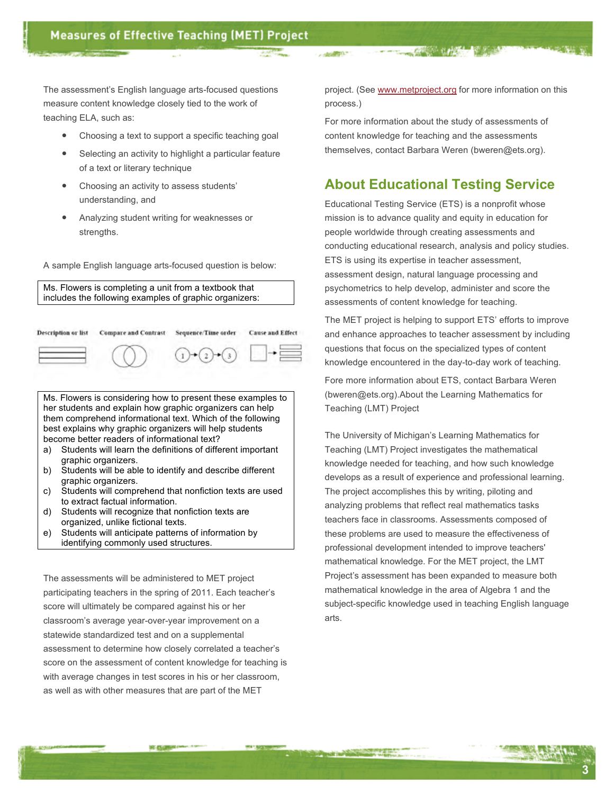The assessment's English language arts-focused questions measure content knowledge closely tied to the work of teaching ELA, such as:

- Choosing a text to support a specific teaching goal
- Selecting an activity to highlight a particular feature of a text or literary technique
- Choosing an activity to assess students' understanding, and
- Analyzing student writing for weaknesses or strengths.

A sample English language arts-focused question is below:

Ms. Flowers is completing a unit from a textbook that includes the following examples of graphic organizers:

| Description or list | <b>Compare and Contrast</b> | Sequence/Time order | Cause and Effect |
|---------------------|-----------------------------|---------------------|------------------|
|                     |                             |                     |                  |

Ms. Flowers is considering how to present these examples to her students and explain how graphic organizers can help them comprehend informational text. Which of the following best explains why graphic organizers will help students become better readers of informational text?

- a) Students will learn the definitions of different important graphic organizers.
- b) Students will be able to identify and describe different graphic organizers.
- c) Students will comprehend that nonfiction texts are used to extract factual information.
- d) Students will recognize that nonfiction texts are organized, unlike fictional texts.
- e) Students will anticipate patterns of information by identifying commonly used structures.

The assessments will be administered to MET project participating teachers in the spring of 2011. Each teacher's score will ultimately be compared against his or her classroom's average year-over-year improvement on a statewide standardized test and on a supplemental assessment to determine how closely correlated a teacher's score on the assessment of content knowledge for teaching is with average changes in test scores in his or her classroom, as well as with other measures that are part of the MET

197. EU

project. (See www.metproject.org for more information on this process.)

For more information about the study of assessments of content knowledge for teaching and the assessments themselves, contact Barbara Weren (bweren@ets.org).

#### **About Educational Testing Service**

Educational Testing Service (ETS) is a nonprofit whose mission is to advance quality and equity in education for people worldwide through creating assessments and conducting educational research, analysis and policy studies. ETS is using its expertise in teacher assessment, assessment design, natural language processing and psychometrics to help develop, administer and score the assessments of content knowledge for teaching.

The MET project is helping to support ETS' efforts to improve and enhance approaches to teacher assessment by including questions that focus on the specialized types of content knowledge encountered in the day-to-day work of teaching.

Fore more information about ETS, contact Barbara Weren (bweren@ets.org).About the Learning Mathematics for Teaching (LMT) Project

The University of Michigan's Learning Mathematics for Teaching (LMT) Project investigates the mathematical knowledge needed for teaching, and how such knowledge develops as a result of experience and professional learning. The project accomplishes this by writing, piloting and analyzing problems that reflect real mathematics tasks teachers face in classrooms. Assessments composed of these problems are used to measure the effectiveness of professional development intended to improve teachers' mathematical knowledge. For the MET project, the LMT Project's assessment has been expanded to measure both mathematical knowledge in the area of Algebra 1 and the subject-specific knowledge used in teaching English language arts.

**3**